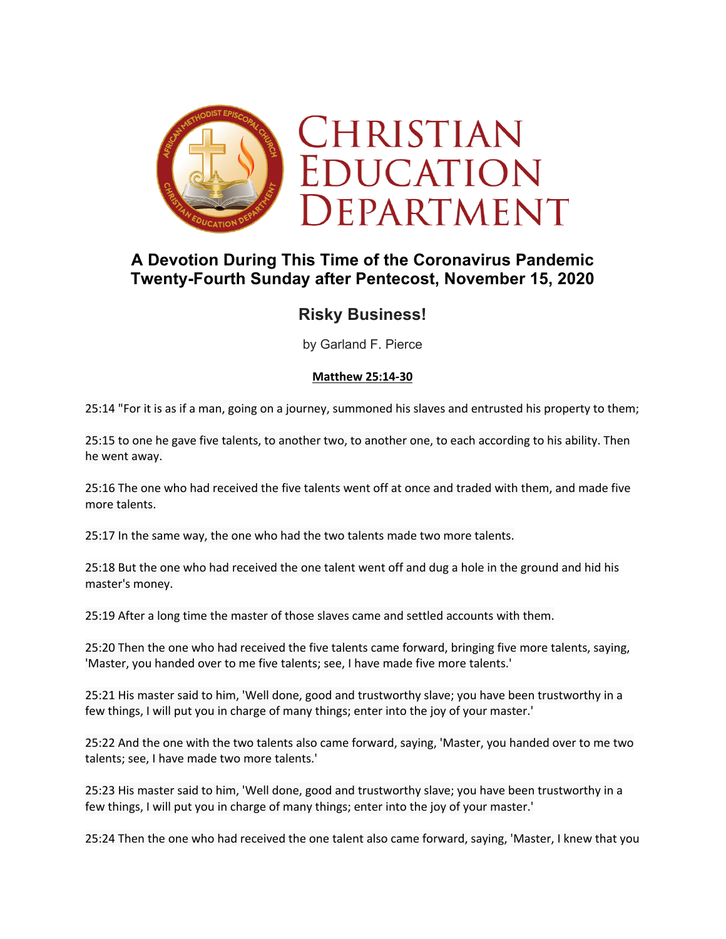

## **A Devotion During This Time of the Coronavirus Pandemic Twenty-Fourth Sunday after Pentecost, November 15, 2020**

# **Risky Business!**

by Garland F. Pierce

#### **Matthew 25:14-30**

25:14 "For it is as if a man, going on a journey, summoned his slaves and entrusted his property to them;

25:15 to one he gave five talents, to another two, to another one, to each according to his ability. Then he went away.

25:16 The one who had received the five talents went off at once and traded with them, and made five more talents.

25:17 In the same way, the one who had the two talents made two more talents.

25:18 But the one who had received the one talent went off and dug a hole in the ground and hid his master's money.

25:19 After a long time the master of those slaves came and settled accounts with them.

25:20 Then the one who had received the five talents came forward, bringing five more talents, saying, 'Master, you handed over to me five talents; see, I have made five more talents.'

25:21 His master said to him, 'Well done, good and trustworthy slave; you have been trustworthy in a few things, I will put you in charge of many things; enter into the joy of your master.'

25:22 And the one with the two talents also came forward, saying, 'Master, you handed over to me two talents; see, I have made two more talents.'

25:23 His master said to him, 'Well done, good and trustworthy slave; you have been trustworthy in a few things, I will put you in charge of many things; enter into the joy of your master.'

25:24 Then the one who had received the one talent also came forward, saying, 'Master, I knew that you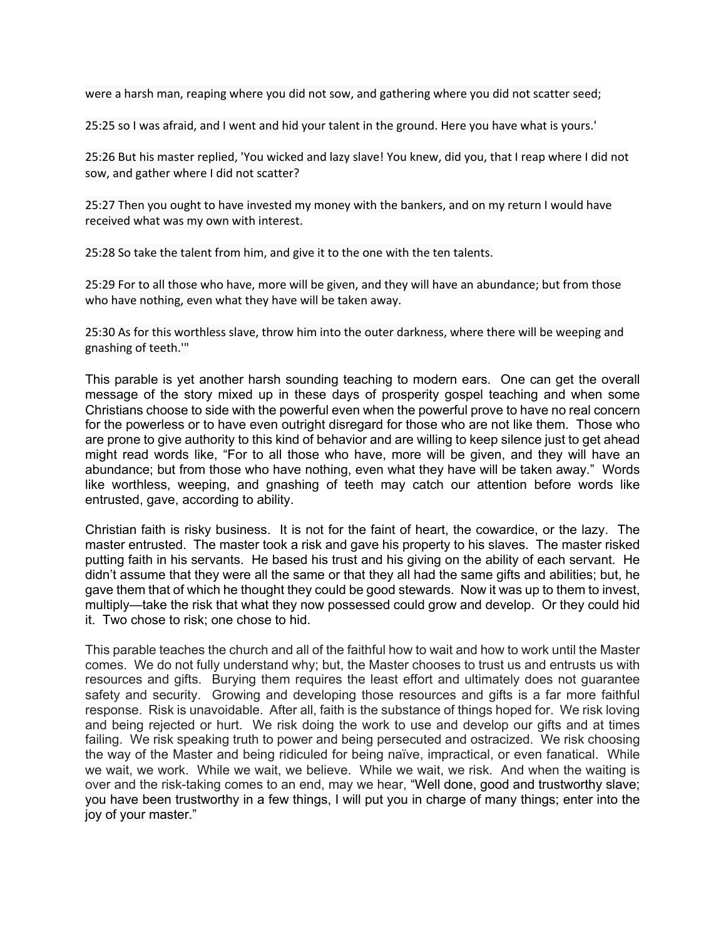were a harsh man, reaping where you did not sow, and gathering where you did not scatter seed;

25:25 so I was afraid, and I went and hid your talent in the ground. Here you have what is yours.'

25:26 But his master replied, 'You wicked and lazy slave! You knew, did you, that I reap where I did not sow, and gather where I did not scatter?

25:27 Then you ought to have invested my money with the bankers, and on my return I would have received what was my own with interest.

25:28 So take the talent from him, and give it to the one with the ten talents.

25:29 For to all those who have, more will be given, and they will have an abundance; but from those who have nothing, even what they have will be taken away.

25:30 As for this worthless slave, throw him into the outer darkness, where there will be weeping and gnashing of teeth.'"

This parable is yet another harsh sounding teaching to modern ears. One can get the overall message of the story mixed up in these days of prosperity gospel teaching and when some Christians choose to side with the powerful even when the powerful prove to have no real concern for the powerless or to have even outright disregard for those who are not like them. Those who are prone to give authority to this kind of behavior and are willing to keep silence just to get ahead might read words like, "For to all those who have, more will be given, and they will have an abundance; but from those who have nothing, even what they have will be taken away." Words like worthless, weeping, and gnashing of teeth may catch our attention before words like entrusted, gave, according to ability.

Christian faith is risky business. It is not for the faint of heart, the cowardice, or the lazy. The master entrusted. The master took a risk and gave his property to his slaves. The master risked putting faith in his servants. He based his trust and his giving on the ability of each servant. He didn't assume that they were all the same or that they all had the same gifts and abilities; but, he gave them that of which he thought they could be good stewards. Now it was up to them to invest, multiply—take the risk that what they now possessed could grow and develop. Or they could hid it. Two chose to risk; one chose to hid.

This parable teaches the church and all of the faithful how to wait and how to work until the Master comes. We do not fully understand why; but, the Master chooses to trust us and entrusts us with resources and gifts. Burying them requires the least effort and ultimately does not guarantee safety and security. Growing and developing those resources and gifts is a far more faithful response. Risk is unavoidable. After all, faith is the substance of things hoped for. We risk loving and being rejected or hurt. We risk doing the work to use and develop our gifts and at times failing. We risk speaking truth to power and being persecuted and ostracized. We risk choosing the way of the Master and being ridiculed for being naïve, impractical, or even fanatical. While we wait, we work. While we wait, we believe. While we wait, we risk. And when the waiting is over and the risk-taking comes to an end, may we hear, "Well done, good and trustworthy slave; you have been trustworthy in a few things, I will put you in charge of many things; enter into the joy of your master."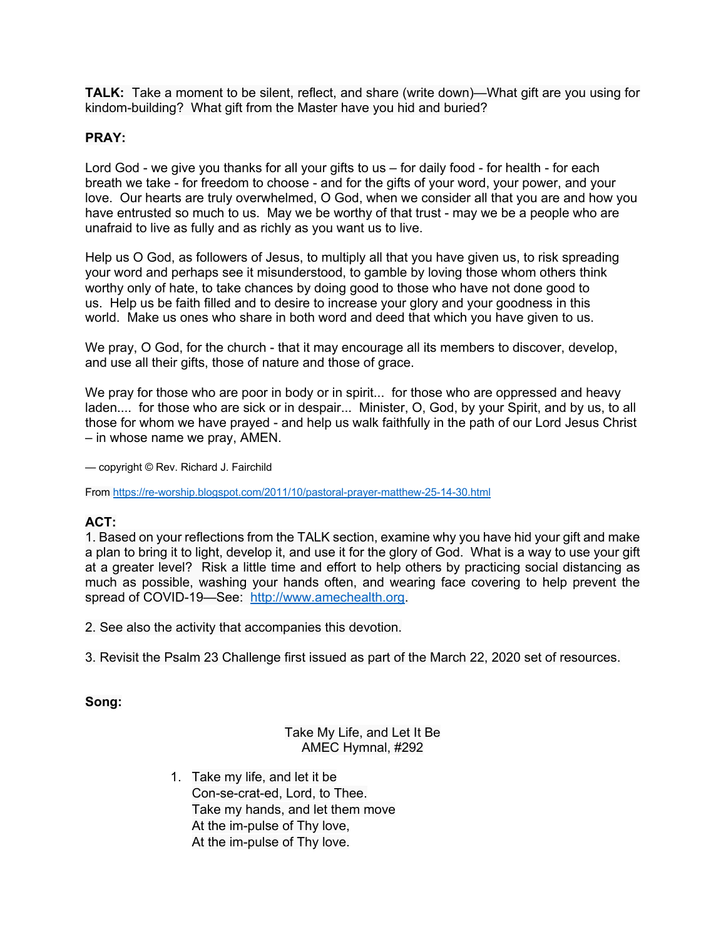**TALK:** Take a moment to be silent, reflect, and share (write down)—What gift are you using for kindom-building? What gift from the Master have you hid and buried?

### **PRAY:**

Lord God - we give you thanks for all your gifts to us – for daily food - for health - for each breath we take - for freedom to choose - and for the gifts of your word, your power, and your love. Our hearts are truly overwhelmed, O God, when we consider all that you are and how you have entrusted so much to us. May we be worthy of that trust - may we be a people who are unafraid to live as fully and as richly as you want us to live.

Help us O God, as followers of Jesus, to multiply all that you have given us, to risk spreading your word and perhaps see it misunderstood, to gamble by loving those whom others think worthy only of hate, to take chances by doing good to those who have not done good to us. Help us be faith filled and to desire to increase your glory and your goodness in this world. Make us ones who share in both word and deed that which you have given to us.

We pray, O God, for the church - that it may encourage all its members to discover, develop, and use all their gifts, those of nature and those of grace.

We pray for those who are poor in body or in spirit... for those who are oppressed and heavy laden.... for those who are sick or in despair... Minister, O, God, by your Spirit, and by us, to all those for whom we have prayed - and help us walk faithfully in the path of our Lord Jesus Christ – in whose name we pray, AMEN.

— copyright © Rev. Richard J. Fairchild

From https://re-worship.blogspot.com/2011/10/pastoral-prayer-matthew-25-14-30.html

#### **ACT:**

1. Based on your reflections from the TALK section, examine why you have hid your gift and make a plan to bring it to light, develop it, and use it for the glory of God. What is a way to use your gift at a greater level? Risk a little time and effort to help others by practicing social distancing as much as possible, washing your hands often, and wearing face covering to help prevent the spread of COVID-19—See: http://www.amechealth.org.

2. See also the activity that accompanies this devotion.

3. Revisit the Psalm 23 Challenge first issued as part of the March 22, 2020 set of resources.

**Song:**

#### Take My Life, and Let It Be AMEC Hymnal, #292

1. Take my life, and let it be Con-se-crat-ed, Lord, to Thee. Take my hands, and let them move At the im-pulse of Thy love, At the im-pulse of Thy love.